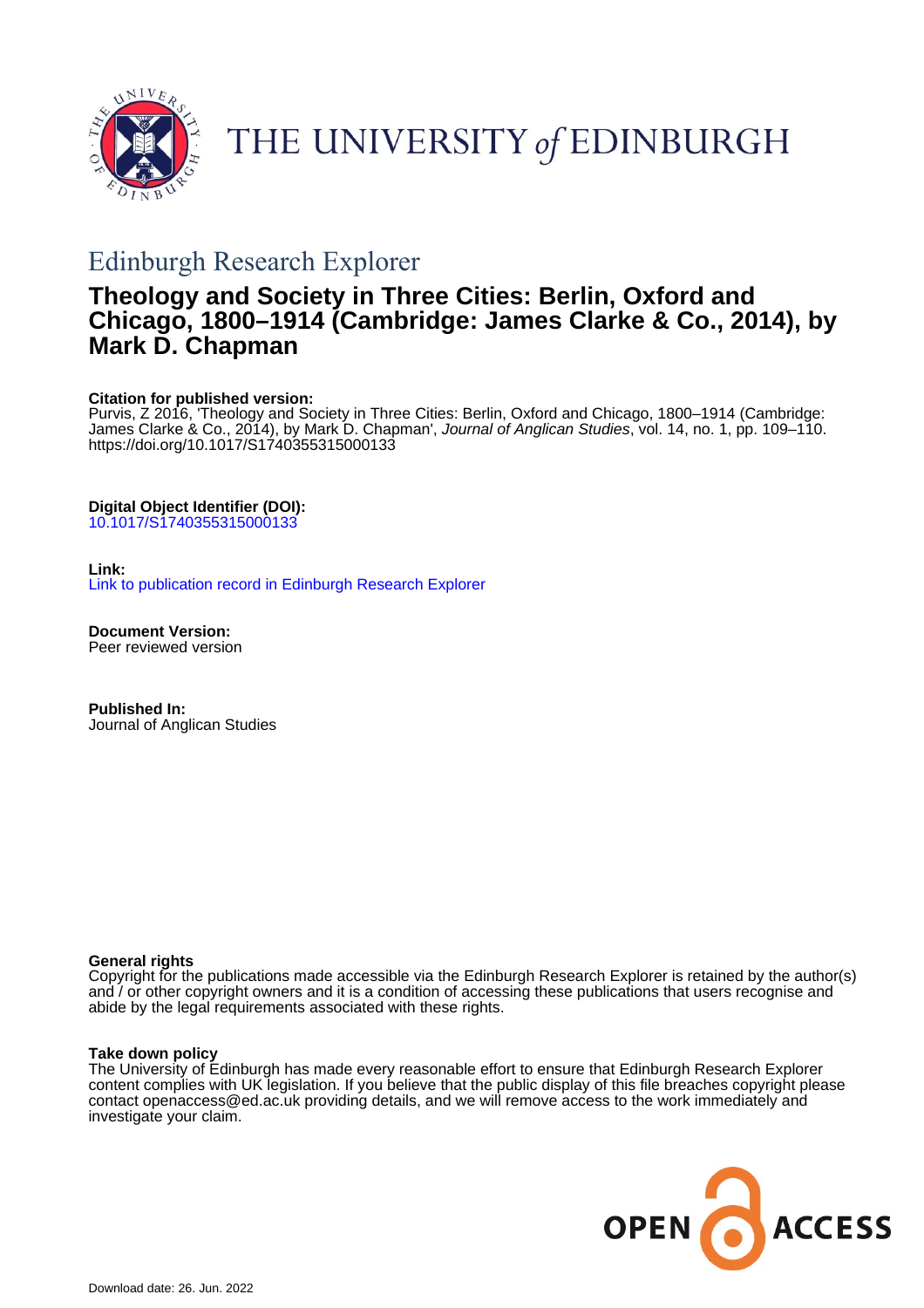

# THE UNIVERSITY of EDINBURGH

# Edinburgh Research Explorer

# **Theology and Society in Three Cities: Berlin, Oxford and Chicago, 1800–1914 (Cambridge: James Clarke & Co., 2014), by Mark D. Chapman**

# **Citation for published version:**

Purvis, Z 2016, 'Theology and Society in Three Cities: Berlin, Oxford and Chicago, 1800–1914 (Cambridge: James Clarke & Co., 2014), by Mark D. Chapman', Journal of Anglican Studies, vol. 14, no. 1, pp. 109–110. <https://doi.org/10.1017/S1740355315000133>

# **Digital Object Identifier (DOI):**

[10.1017/S1740355315000133](https://doi.org/10.1017/S1740355315000133)

# **Link:**

[Link to publication record in Edinburgh Research Explorer](https://www.research.ed.ac.uk/en/publications/902ccc6b-a4f9-40f7-8184-15b429f5da59)

**Document Version:** Peer reviewed version

**Published In:** Journal of Anglican Studies

### **General rights**

Copyright for the publications made accessible via the Edinburgh Research Explorer is retained by the author(s) and / or other copyright owners and it is a condition of accessing these publications that users recognise and abide by the legal requirements associated with these rights.

### **Take down policy**

The University of Edinburgh has made every reasonable effort to ensure that Edinburgh Research Explorer content complies with UK legislation. If you believe that the public display of this file breaches copyright please contact openaccess@ed.ac.uk providing details, and we will remove access to the work immediately and investigate your claim.

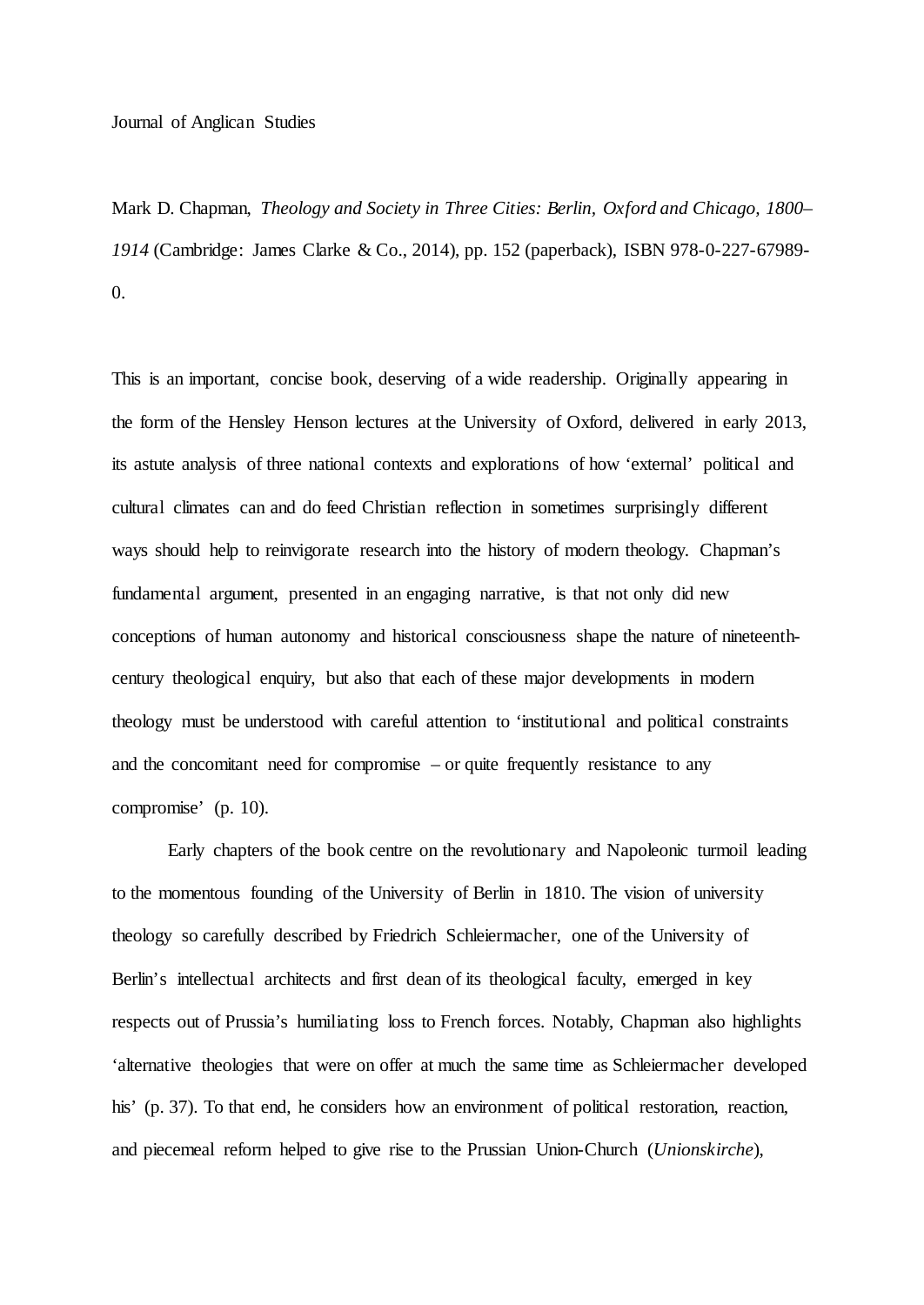#### Journal of Anglican Studies

Mark D. Chapman, *Theology and Society in Three Cities: Berlin, Oxford and Chicago, 1800– 1914* (Cambridge: James Clarke & Co., 2014), pp. 152 (paperback), ISBN 978-0-227-67989- 0.

This is an important, concise book, deserving of a wide readership. Originally appearing in the form of the Hensley Henson lectures at the University of Oxford, delivered in early 2013, its astute analysis of three national contexts and explorations of how 'external' political and cultural climates can and do feed Christian reflection in sometimes surprisingly different ways should help to reinvigorate research into the history of modern theology. Chapman's fundamental argument, presented in an engaging narrative, is that not only did new conceptions of human autonomy and historical consciousness shape the nature of nineteenthcentury theological enquiry, but also that each of these major developments in modern theology must be understood with careful attention to 'institutional and political constraints and the concomitant need for compromise – or quite frequently resistance to any compromise' (p. 10).

Early chapters of the book centre on the revolutionary and Napoleonic turmoil leading to the momentous founding of the University of Berlin in 1810. The vision of university theology so carefully described by Friedrich Schleiermacher, one of the University of Berlin's intellectual architects and first dean of its theological faculty, emerged in key respects out of Prussia's humiliating loss to French forces. Notably, Chapman also highlights 'alternative theologies that were on offer at much the same time as Schleiermacher developed his' (p. 37). To that end, he considers how an environment of political restoration, reaction, and piecemeal reform helped to give rise to the Prussian Union-Church (*Unionskirche*),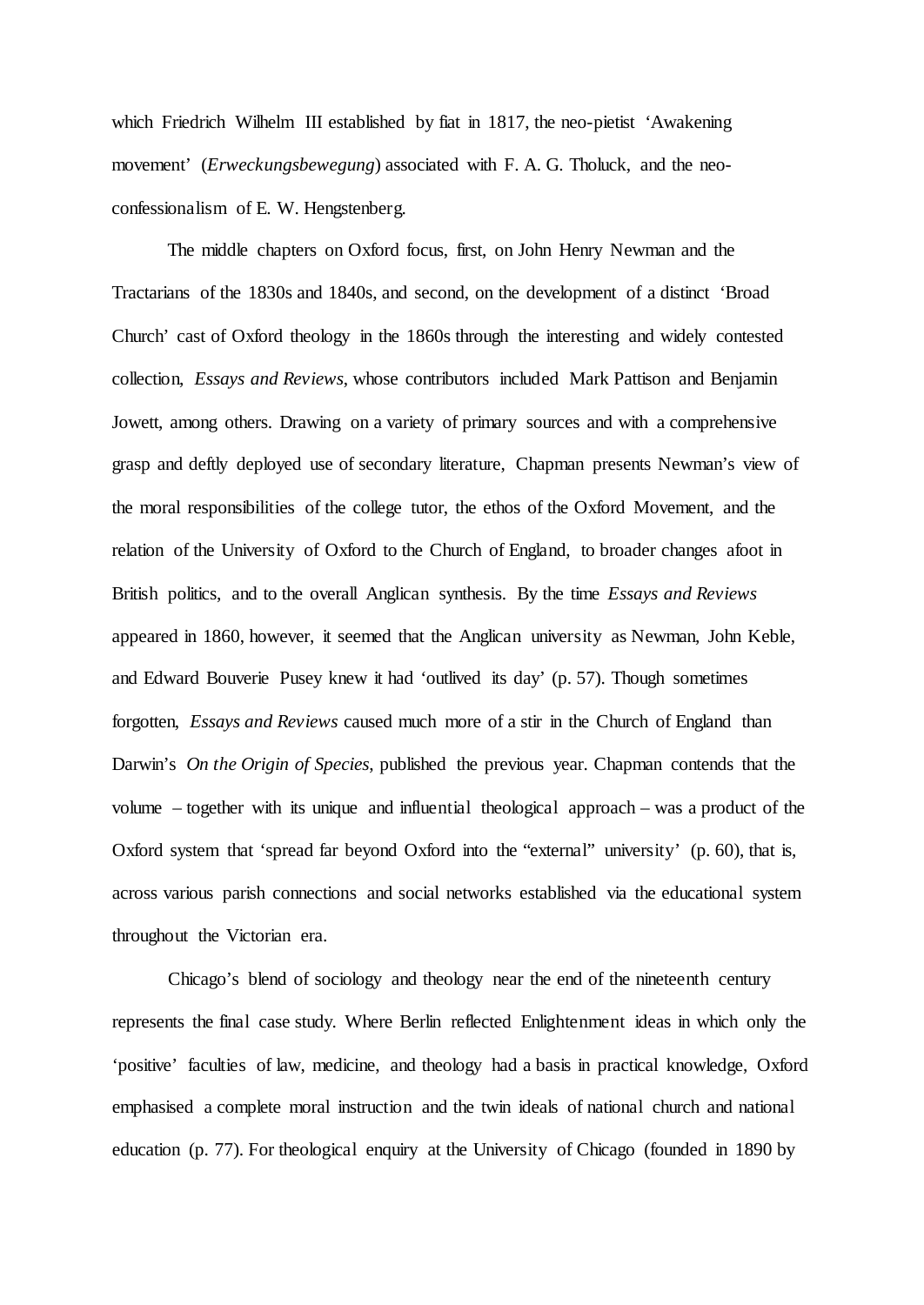which Friedrich Wilhelm III established by fiat in 1817, the neo-pietist 'Awakening movement' (*Erweckungsbewegung*) associated with F. A. G. Tholuck, and the neoconfessionalism of E. W. Hengstenberg.

The middle chapters on Oxford focus, first, on John Henry Newman and the Tractarians of the 1830s and 1840s, and second, on the development of a distinct 'Broad Church' cast of Oxford theology in the 1860s through the interesting and widely contested collection, *Essays and Reviews*, whose contributors included Mark Pattison and Benjamin Jowett, among others. Drawing on a variety of primary sources and with a comprehensive grasp and deftly deployed use of secondary literature, Chapman presents Newman's view of the moral responsibilities of the college tutor, the ethos of the Oxford Movement, and the relation of the University of Oxford to the Church of England, to broader changes afoot in British politics, and to the overall Anglican synthesis. By the time *Essays and Reviews* appeared in 1860, however, it seemed that the Anglican university as Newman, John Keble, and Edward Bouverie Pusey knew it had 'outlived its day' (p. 57). Though sometimes forgotten, *Essays and Reviews* caused much more of a stir in the Church of England than Darwin's *On the Origin of Species*, published the previous year. Chapman contends that the volume – together with its unique and influential theological approach – was a product of the Oxford system that 'spread far beyond Oxford into the "external" university' (p. 60), that is, across various parish connections and social networks established via the educational system throughout the Victorian era.

Chicago's blend of sociology and theology near the end of the nineteenth century represents the final case study. Where Berlin reflected Enlightenment ideas in which only the 'positive' faculties of law, medicine, and theology had a basis in practical knowledge, Oxford emphasised a complete moral instruction and the twin ideals of national church and national education (p. 77). For theological enquiry at the University of Chicago (founded in 1890 by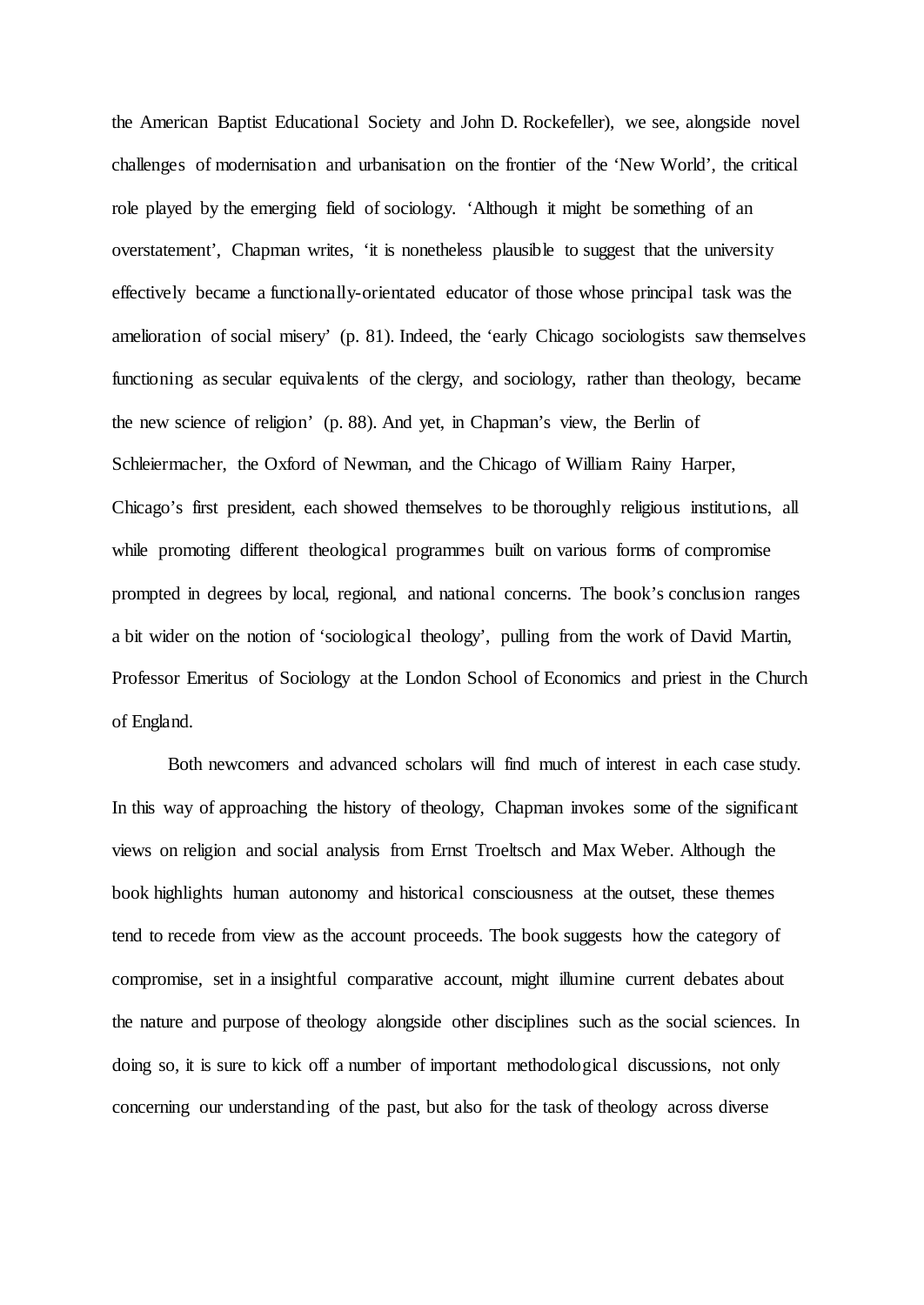the American Baptist Educational Society and John D. Rockefeller), we see, alongside novel challenges of modernisation and urbanisation on the frontier of the 'New World', the critical role played by the emerging field of sociology. 'Although it might be something of an overstatement', Chapman writes, 'it is nonetheless plausible to suggest that the university effectively became a functionally-orientated educator of those whose principal task was the amelioration of social misery' (p. 81). Indeed, the 'early Chicago sociologists saw themselves functioning as secular equivalents of the clergy, and sociology, rather than theology, became the new science of religion' (p. 88). And yet, in Chapman's view, the Berlin of Schleiermacher, the Oxford of Newman, and the Chicago of William Rainy Harper, Chicago's first president, each showed themselves to be thoroughly religious institutions, all while promoting different theological programmes built on various forms of compromise prompted in degrees by local, regional, and national concerns. The book's conclusion ranges a bit wider on the notion of 'sociological theology', pulling from the work of David Martin, Professor Emeritus of Sociology at the London School of Economics and priest in the Church of England.

Both newcomers and advanced scholars will find much of interest in each case study. In this way of approaching the history of theology, Chapman invokes some of the significant views on religion and social analysis from Ernst Troeltsch and Max Weber. Although the book highlights human autonomy and historical consciousness at the outset, these themes tend to recede from view as the account proceeds. The book suggests how the category of compromise, set in a insightful comparative account, might illumine current debates about the nature and purpose of theology alongside other disciplines such as the social sciences. In doing so, it is sure to kick off a number of important methodological discussions, not only concerning our understanding of the past, but also for the task of theology across diverse